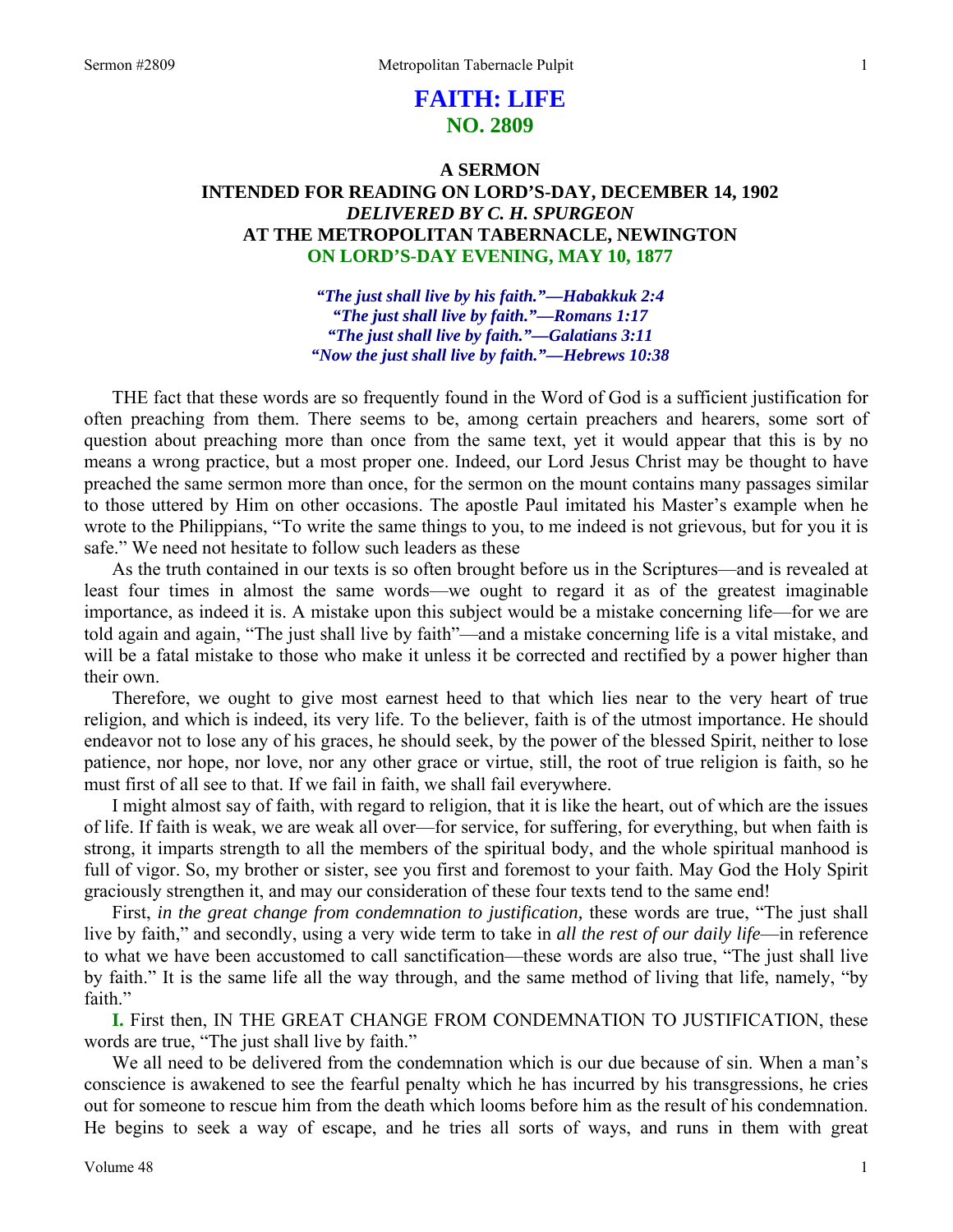# **FAITH: LIFE NO. 2809**

# **A SERMON INTENDED FOR READING ON LORD'S-DAY, DECEMBER 14, 1902**  *DELIVERED BY C. H. SPURGEON*  **AT THE METROPOLITAN TABERNACLE, NEWINGTON ON LORD'S-DAY EVENING, MAY 10, 1877**

*"The just shall live by his faith."—Habakkuk 2:4 "The just shall live by faith."—Romans 1:17 "The just shall live by faith."—Galatians 3:11 "Now the just shall live by faith."—Hebrews 10:38* 

THE fact that these words are so frequently found in the Word of God is a sufficient justification for often preaching from them. There seems to be, among certain preachers and hearers, some sort of question about preaching more than once from the same text, yet it would appear that this is by no means a wrong practice, but a most proper one. Indeed, our Lord Jesus Christ may be thought to have preached the same sermon more than once, for the sermon on the mount contains many passages similar to those uttered by Him on other occasions. The apostle Paul imitated his Master's example when he wrote to the Philippians, "To write the same things to you, to me indeed is not grievous, but for you it is safe." We need not hesitate to follow such leaders as these

As the truth contained in our texts is so often brought before us in the Scriptures—and is revealed at least four times in almost the same words—we ought to regard it as of the greatest imaginable importance, as indeed it is. A mistake upon this subject would be a mistake concerning life—for we are told again and again, "The just shall live by faith"—and a mistake concerning life is a vital mistake, and will be a fatal mistake to those who make it unless it be corrected and rectified by a power higher than their own.

Therefore, we ought to give most earnest heed to that which lies near to the very heart of true religion, and which is indeed, its very life. To the believer, faith is of the utmost importance. He should endeavor not to lose any of his graces, he should seek, by the power of the blessed Spirit, neither to lose patience, nor hope, nor love, nor any other grace or virtue, still, the root of true religion is faith, so he must first of all see to that. If we fail in faith, we shall fail everywhere.

I might almost say of faith, with regard to religion, that it is like the heart, out of which are the issues of life. If faith is weak, we are weak all over—for service, for suffering, for everything, but when faith is strong, it imparts strength to all the members of the spiritual body, and the whole spiritual manhood is full of vigor. So, my brother or sister, see you first and foremost to your faith. May God the Holy Spirit graciously strengthen it, and may our consideration of these four texts tend to the same end!

First, *in the great change from condemnation to justification,* these words are true, "The just shall live by faith," and secondly, using a very wide term to take in *all the rest of our daily life*—in reference to what we have been accustomed to call sanctification—these words are also true, "The just shall live by faith." It is the same life all the way through, and the same method of living that life, namely, "by faith."

**I.** First then, IN THE GREAT CHANGE FROM CONDEMNATION TO JUSTIFICATION, these words are true, "The just shall live by faith."

We all need to be delivered from the condemnation which is our due because of sin. When a man's conscience is awakened to see the fearful penalty which he has incurred by his transgressions, he cries out for someone to rescue him from the death which looms before him as the result of his condemnation. He begins to seek a way of escape, and he tries all sorts of ways, and runs in them with great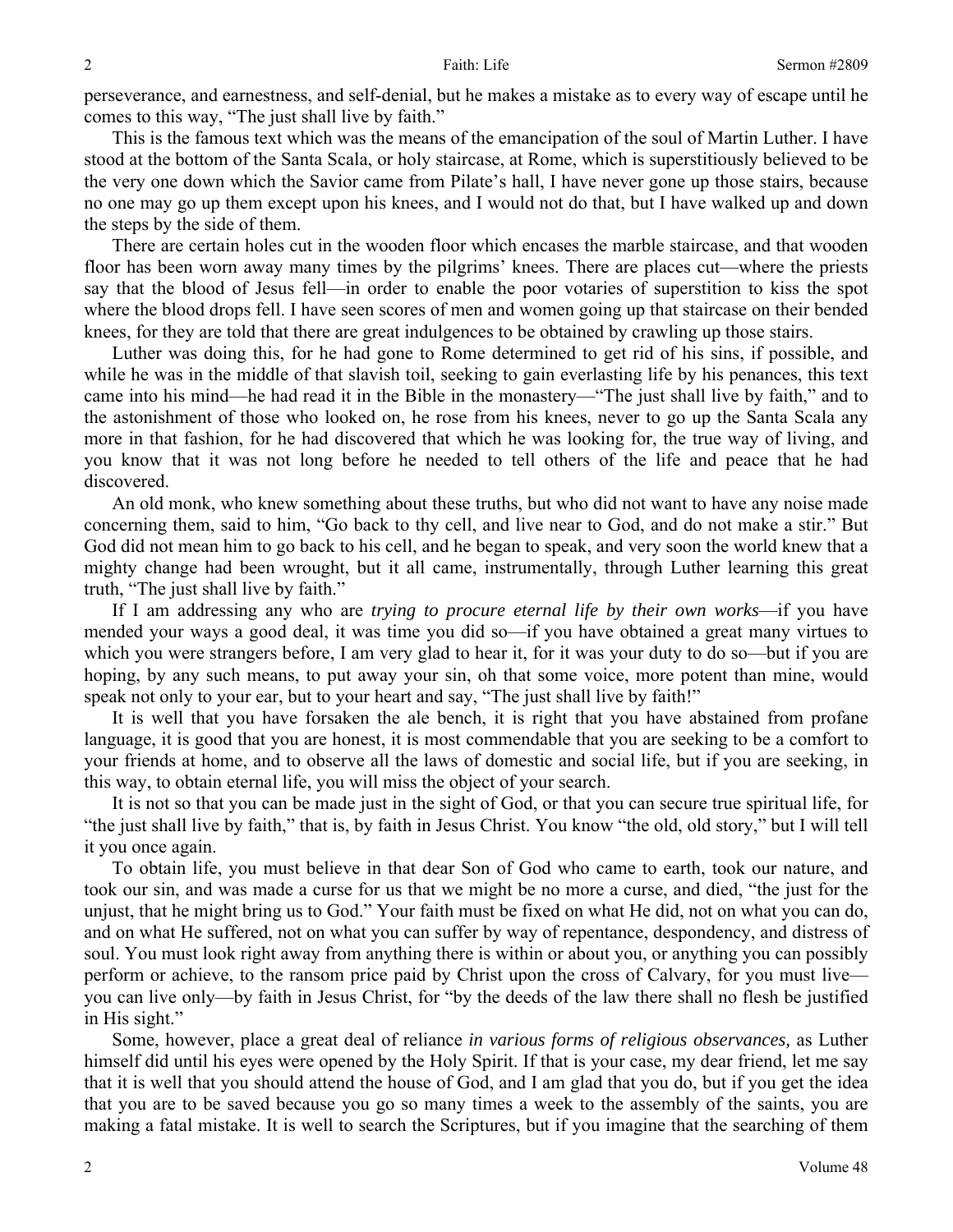perseverance, and earnestness, and self-denial, but he makes a mistake as to every way of escape until he comes to this way, "The just shall live by faith."

This is the famous text which was the means of the emancipation of the soul of Martin Luther. I have stood at the bottom of the Santa Scala, or holy staircase, at Rome, which is superstitiously believed to be the very one down which the Savior came from Pilate's hall, I have never gone up those stairs, because no one may go up them except upon his knees, and I would not do that, but I have walked up and down the steps by the side of them.

There are certain holes cut in the wooden floor which encases the marble staircase, and that wooden floor has been worn away many times by the pilgrims' knees. There are places cut—where the priests say that the blood of Jesus fell—in order to enable the poor votaries of superstition to kiss the spot where the blood drops fell. I have seen scores of men and women going up that staircase on their bended knees, for they are told that there are great indulgences to be obtained by crawling up those stairs.

Luther was doing this, for he had gone to Rome determined to get rid of his sins, if possible, and while he was in the middle of that slavish toil, seeking to gain everlasting life by his penances, this text came into his mind—he had read it in the Bible in the monastery—"The just shall live by faith," and to the astonishment of those who looked on, he rose from his knees, never to go up the Santa Scala any more in that fashion, for he had discovered that which he was looking for, the true way of living, and you know that it was not long before he needed to tell others of the life and peace that he had discovered.

An old monk, who knew something about these truths, but who did not want to have any noise made concerning them, said to him, "Go back to thy cell, and live near to God, and do not make a stir." But God did not mean him to go back to his cell, and he began to speak, and very soon the world knew that a mighty change had been wrought, but it all came, instrumentally, through Luther learning this great truth, "The just shall live by faith."

If I am addressing any who are *trying to procure eternal life by their own works*—if you have mended your ways a good deal, it was time you did so—if you have obtained a great many virtues to which you were strangers before, I am very glad to hear it, for it was your duty to do so—but if you are hoping, by any such means, to put away your sin, oh that some voice, more potent than mine, would speak not only to your ear, but to your heart and say, "The just shall live by faith!"

It is well that you have forsaken the ale bench, it is right that you have abstained from profane language, it is good that you are honest, it is most commendable that you are seeking to be a comfort to your friends at home, and to observe all the laws of domestic and social life, but if you are seeking, in this way, to obtain eternal life, you will miss the object of your search.

It is not so that you can be made just in the sight of God, or that you can secure true spiritual life, for "the just shall live by faith," that is, by faith in Jesus Christ. You know "the old, old story," but I will tell it you once again.

To obtain life, you must believe in that dear Son of God who came to earth, took our nature, and took our sin, and was made a curse for us that we might be no more a curse, and died, "the just for the unjust, that he might bring us to God." Your faith must be fixed on what He did, not on what you can do, and on what He suffered, not on what you can suffer by way of repentance, despondency, and distress of soul. You must look right away from anything there is within or about you, or anything you can possibly perform or achieve, to the ransom price paid by Christ upon the cross of Calvary, for you must live you can live only—by faith in Jesus Christ, for "by the deeds of the law there shall no flesh be justified in His sight."

Some, however, place a great deal of reliance *in various forms of religious observances,* as Luther himself did until his eyes were opened by the Holy Spirit. If that is your case, my dear friend, let me say that it is well that you should attend the house of God, and I am glad that you do, but if you get the idea that you are to be saved because you go so many times a week to the assembly of the saints, you are making a fatal mistake. It is well to search the Scriptures, but if you imagine that the searching of them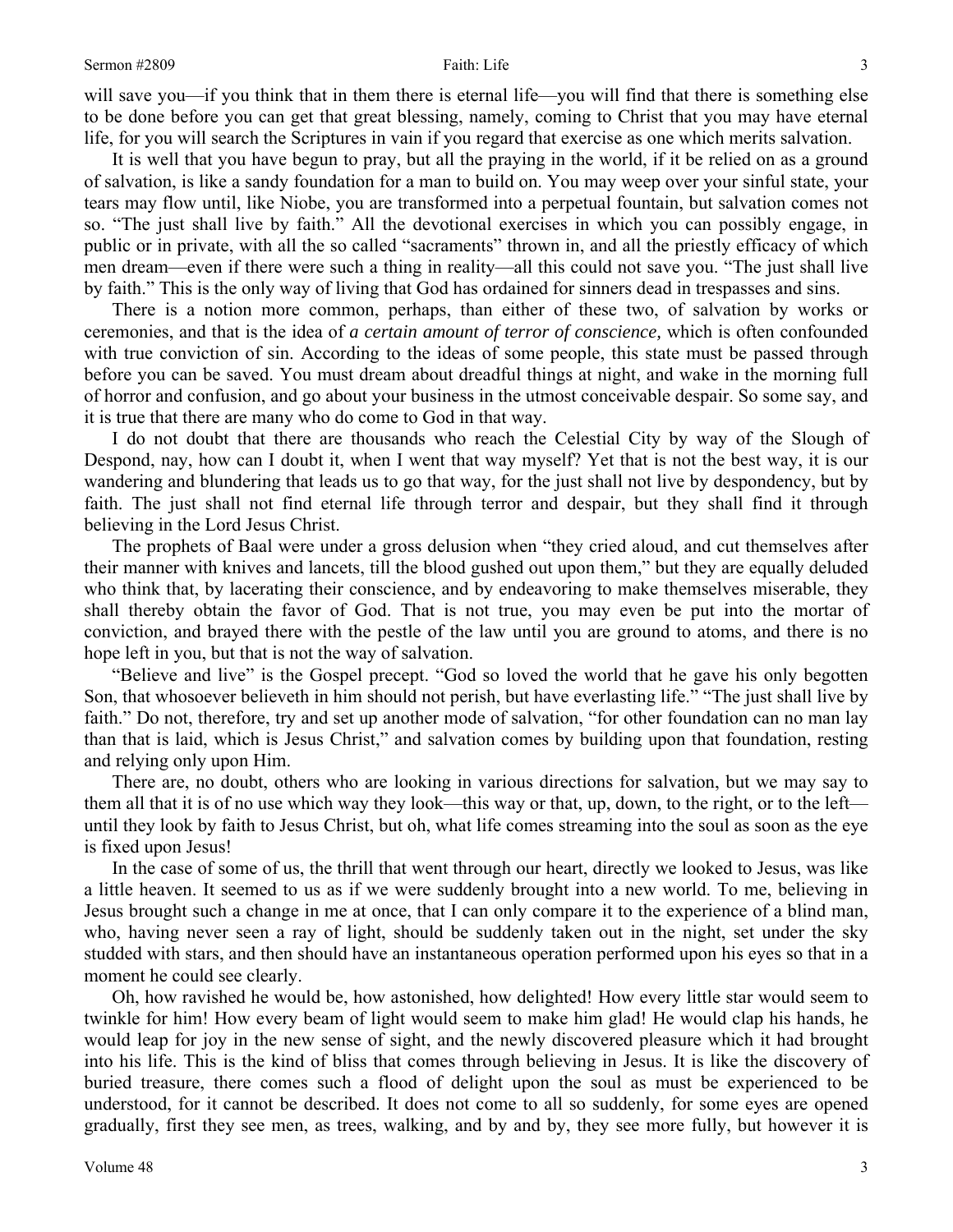will save you—if you think that in them there is eternal life—you will find that there is something else to be done before you can get that great blessing, namely, coming to Christ that you may have eternal life, for you will search the Scriptures in vain if you regard that exercise as one which merits salvation.

It is well that you have begun to pray, but all the praying in the world, if it be relied on as a ground of salvation, is like a sandy foundation for a man to build on. You may weep over your sinful state, your tears may flow until, like Niobe, you are transformed into a perpetual fountain, but salvation comes not so. "The just shall live by faith." All the devotional exercises in which you can possibly engage, in public or in private, with all the so called "sacraments" thrown in, and all the priestly efficacy of which men dream—even if there were such a thing in reality—all this could not save you. "The just shall live by faith." This is the only way of living that God has ordained for sinners dead in trespasses and sins.

There is a notion more common, perhaps, than either of these two, of salvation by works or ceremonies, and that is the idea of *a certain amount of terror of conscience,* which is often confounded with true conviction of sin. According to the ideas of some people, this state must be passed through before you can be saved. You must dream about dreadful things at night, and wake in the morning full of horror and confusion, and go about your business in the utmost conceivable despair. So some say, and it is true that there are many who do come to God in that way.

I do not doubt that there are thousands who reach the Celestial City by way of the Slough of Despond, nay, how can I doubt it, when I went that way myself? Yet that is not the best way, it is our wandering and blundering that leads us to go that way, for the just shall not live by despondency, but by faith. The just shall not find eternal life through terror and despair, but they shall find it through believing in the Lord Jesus Christ.

The prophets of Baal were under a gross delusion when "they cried aloud, and cut themselves after their manner with knives and lancets, till the blood gushed out upon them," but they are equally deluded who think that, by lacerating their conscience, and by endeavoring to make themselves miserable, they shall thereby obtain the favor of God. That is not true, you may even be put into the mortar of conviction, and brayed there with the pestle of the law until you are ground to atoms, and there is no hope left in you, but that is not the way of salvation.

"Believe and live" is the Gospel precept. "God so loved the world that he gave his only begotten Son, that whosoever believeth in him should not perish, but have everlasting life." "The just shall live by faith." Do not, therefore, try and set up another mode of salvation, "for other foundation can no man lay than that is laid, which is Jesus Christ," and salvation comes by building upon that foundation, resting and relying only upon Him.

There are, no doubt, others who are looking in various directions for salvation, but we may say to them all that it is of no use which way they look—this way or that, up, down, to the right, or to the left until they look by faith to Jesus Christ, but oh, what life comes streaming into the soul as soon as the eye is fixed upon Jesus!

In the case of some of us, the thrill that went through our heart, directly we looked to Jesus, was like a little heaven. It seemed to us as if we were suddenly brought into a new world. To me, believing in Jesus brought such a change in me at once, that I can only compare it to the experience of a blind man, who, having never seen a ray of light, should be suddenly taken out in the night, set under the sky studded with stars, and then should have an instantaneous operation performed upon his eyes so that in a moment he could see clearly.

Oh, how ravished he would be, how astonished, how delighted! How every little star would seem to twinkle for him! How every beam of light would seem to make him glad! He would clap his hands, he would leap for joy in the new sense of sight, and the newly discovered pleasure which it had brought into his life. This is the kind of bliss that comes through believing in Jesus. It is like the discovery of buried treasure, there comes such a flood of delight upon the soul as must be experienced to be understood, for it cannot be described. It does not come to all so suddenly, for some eyes are opened gradually, first they see men, as trees, walking, and by and by, they see more fully, but however it is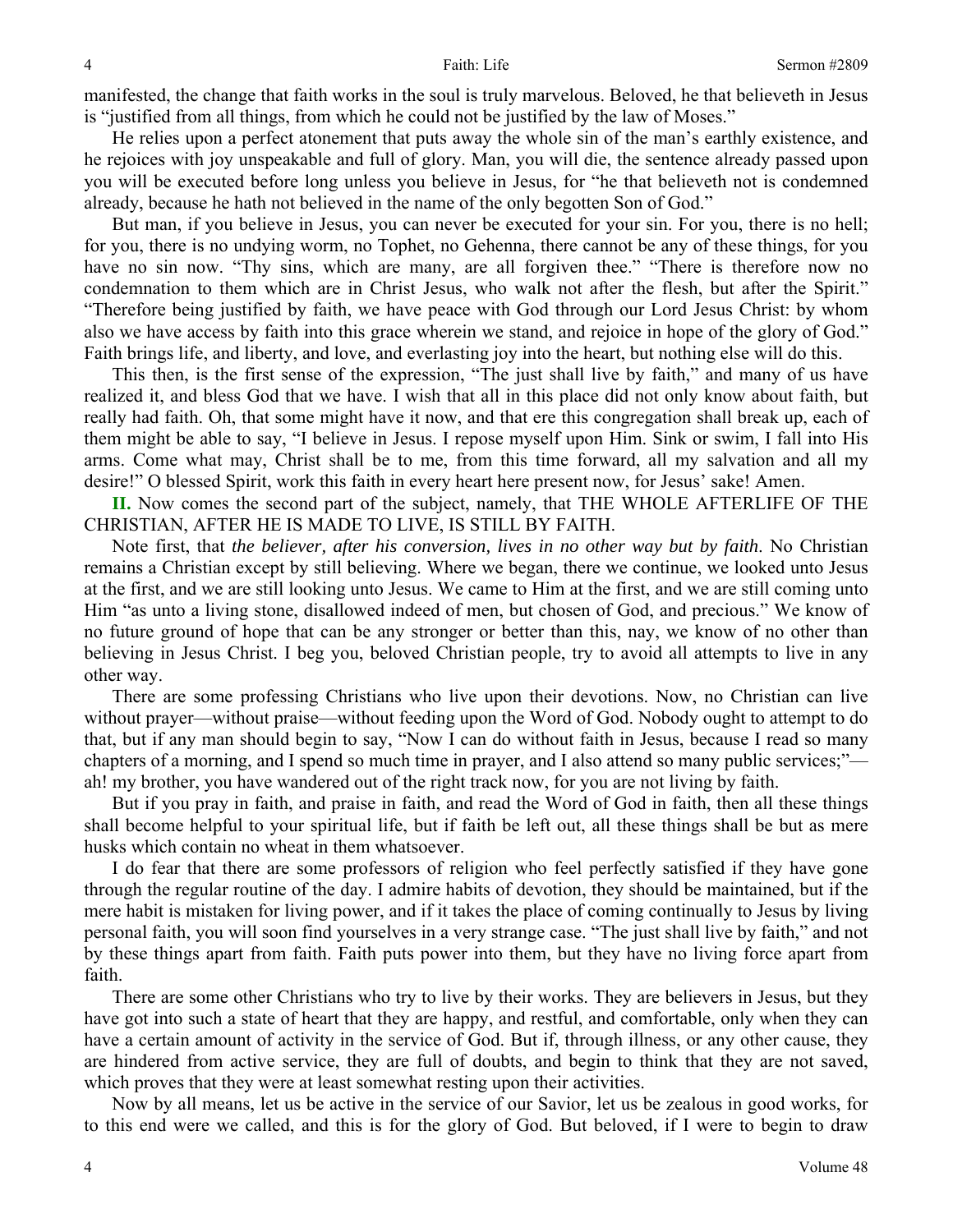manifested, the change that faith works in the soul is truly marvelous. Beloved, he that believeth in Jesus is "justified from all things, from which he could not be justified by the law of Moses."

He relies upon a perfect atonement that puts away the whole sin of the man's earthly existence, and he rejoices with joy unspeakable and full of glory. Man, you will die, the sentence already passed upon you will be executed before long unless you believe in Jesus, for "he that believeth not is condemned already, because he hath not believed in the name of the only begotten Son of God."

But man, if you believe in Jesus, you can never be executed for your sin. For you, there is no hell; for you, there is no undying worm, no Tophet, no Gehenna, there cannot be any of these things, for you have no sin now. "Thy sins, which are many, are all forgiven thee." "There is therefore now no condemnation to them which are in Christ Jesus, who walk not after the flesh, but after the Spirit." "Therefore being justified by faith, we have peace with God through our Lord Jesus Christ: by whom also we have access by faith into this grace wherein we stand, and rejoice in hope of the glory of God." Faith brings life, and liberty, and love, and everlasting joy into the heart, but nothing else will do this.

This then, is the first sense of the expression, "The just shall live by faith," and many of us have realized it, and bless God that we have. I wish that all in this place did not only know about faith, but really had faith. Oh, that some might have it now, and that ere this congregation shall break up, each of them might be able to say, "I believe in Jesus. I repose myself upon Him. Sink or swim, I fall into His arms. Come what may, Christ shall be to me, from this time forward, all my salvation and all my desire!" O blessed Spirit, work this faith in every heart here present now, for Jesus' sake! Amen.

**II.** Now comes the second part of the subject, namely, that THE WHOLE AFTERLIFE OF THE CHRISTIAN, AFTER HE IS MADE TO LIVE, IS STILL BY FAITH.

Note first, that *the believer, after his conversion, lives in no other way but by faith*. No Christian remains a Christian except by still believing. Where we began, there we continue, we looked unto Jesus at the first, and we are still looking unto Jesus. We came to Him at the first, and we are still coming unto Him "as unto a living stone, disallowed indeed of men, but chosen of God, and precious." We know of no future ground of hope that can be any stronger or better than this, nay, we know of no other than believing in Jesus Christ. I beg you, beloved Christian people, try to avoid all attempts to live in any other way.

There are some professing Christians who live upon their devotions. Now, no Christian can live without prayer—without praise—without feeding upon the Word of God. Nobody ought to attempt to do that, but if any man should begin to say, "Now I can do without faith in Jesus, because I read so many chapters of a morning, and I spend so much time in prayer, and I also attend so many public services;" ah! my brother, you have wandered out of the right track now, for you are not living by faith.

But if you pray in faith, and praise in faith, and read the Word of God in faith, then all these things shall become helpful to your spiritual life, but if faith be left out, all these things shall be but as mere husks which contain no wheat in them whatsoever.

I do fear that there are some professors of religion who feel perfectly satisfied if they have gone through the regular routine of the day. I admire habits of devotion, they should be maintained, but if the mere habit is mistaken for living power, and if it takes the place of coming continually to Jesus by living personal faith, you will soon find yourselves in a very strange case. "The just shall live by faith," and not by these things apart from faith. Faith puts power into them, but they have no living force apart from faith.

There are some other Christians who try to live by their works. They are believers in Jesus, but they have got into such a state of heart that they are happy, and restful, and comfortable, only when they can have a certain amount of activity in the service of God. But if, through illness, or any other cause, they are hindered from active service, they are full of doubts, and begin to think that they are not saved, which proves that they were at least somewhat resting upon their activities.

Now by all means, let us be active in the service of our Savior, let us be zealous in good works, for to this end were we called, and this is for the glory of God. But beloved, if I were to begin to draw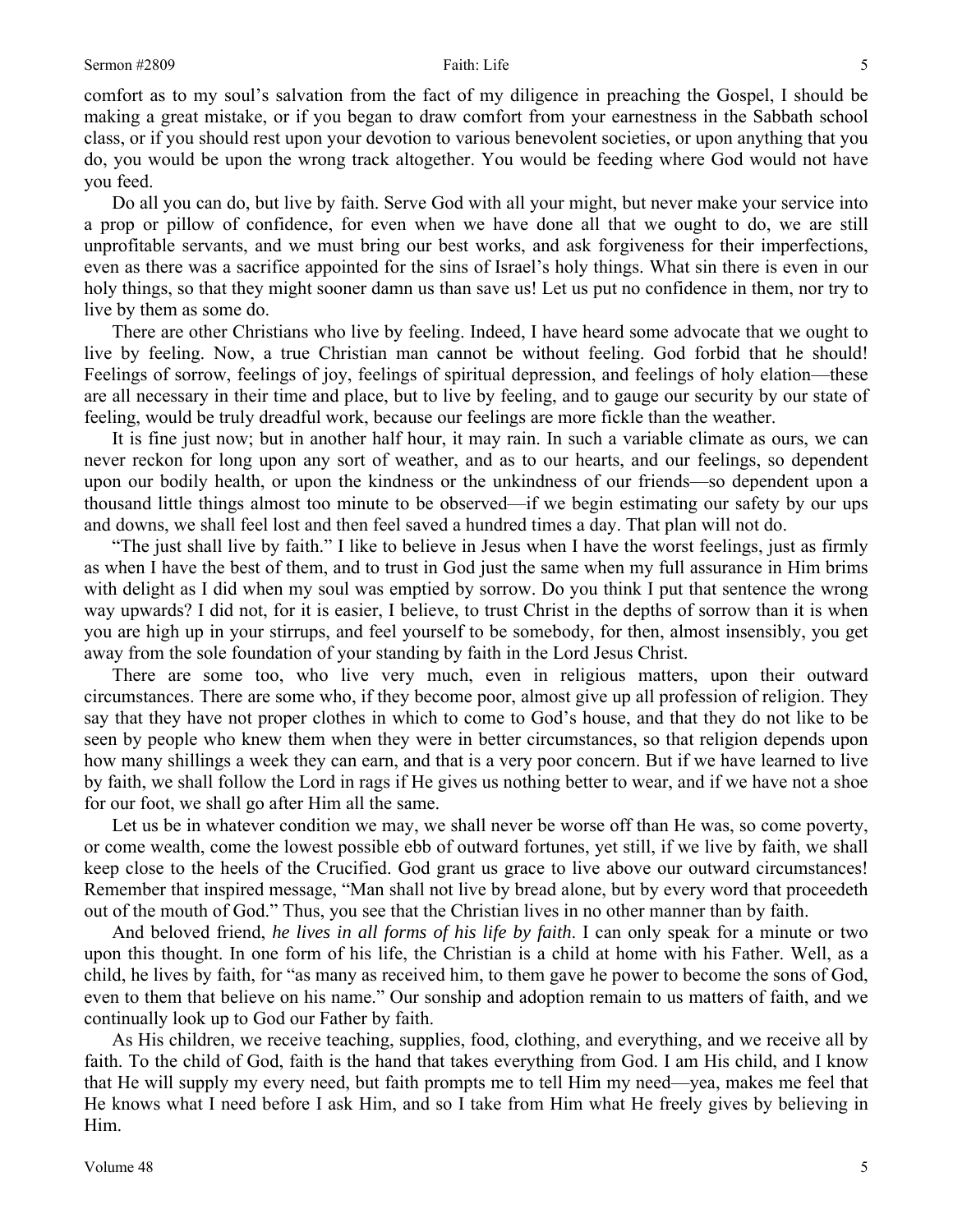comfort as to my soul's salvation from the fact of my diligence in preaching the Gospel, I should be making a great mistake, or if you began to draw comfort from your earnestness in the Sabbath school class, or if you should rest upon your devotion to various benevolent societies, or upon anything that you do, you would be upon the wrong track altogether. You would be feeding where God would not have you feed.

Do all you can do, but live by faith. Serve God with all your might, but never make your service into a prop or pillow of confidence, for even when we have done all that we ought to do, we are still unprofitable servants, and we must bring our best works, and ask forgiveness for their imperfections, even as there was a sacrifice appointed for the sins of Israel's holy things. What sin there is even in our holy things, so that they might sooner damn us than save us! Let us put no confidence in them, nor try to live by them as some do.

There are other Christians who live by feeling. Indeed, I have heard some advocate that we ought to live by feeling. Now, a true Christian man cannot be without feeling. God forbid that he should! Feelings of sorrow, feelings of joy, feelings of spiritual depression, and feelings of holy elation—these are all necessary in their time and place, but to live by feeling, and to gauge our security by our state of feeling, would be truly dreadful work, because our feelings are more fickle than the weather.

It is fine just now; but in another half hour, it may rain. In such a variable climate as ours, we can never reckon for long upon any sort of weather, and as to our hearts, and our feelings, so dependent upon our bodily health, or upon the kindness or the unkindness of our friends—so dependent upon a thousand little things almost too minute to be observed—if we begin estimating our safety by our ups and downs, we shall feel lost and then feel saved a hundred times a day. That plan will not do.

"The just shall live by faith." I like to believe in Jesus when I have the worst feelings, just as firmly as when I have the best of them, and to trust in God just the same when my full assurance in Him brims with delight as I did when my soul was emptied by sorrow. Do you think I put that sentence the wrong way upwards? I did not, for it is easier, I believe, to trust Christ in the depths of sorrow than it is when you are high up in your stirrups, and feel yourself to be somebody, for then, almost insensibly, you get away from the sole foundation of your standing by faith in the Lord Jesus Christ.

There are some too, who live very much, even in religious matters, upon their outward circumstances. There are some who, if they become poor, almost give up all profession of religion. They say that they have not proper clothes in which to come to God's house, and that they do not like to be seen by people who knew them when they were in better circumstances, so that religion depends upon how many shillings a week they can earn, and that is a very poor concern. But if we have learned to live by faith, we shall follow the Lord in rags if He gives us nothing better to wear, and if we have not a shoe for our foot, we shall go after Him all the same.

Let us be in whatever condition we may, we shall never be worse off than He was, so come poverty, or come wealth, come the lowest possible ebb of outward fortunes, yet still, if we live by faith, we shall keep close to the heels of the Crucified. God grant us grace to live above our outward circumstances! Remember that inspired message, "Man shall not live by bread alone, but by every word that proceedeth out of the mouth of God." Thus, you see that the Christian lives in no other manner than by faith.

And beloved friend, *he lives in all forms of his life by faith*. I can only speak for a minute or two upon this thought. In one form of his life, the Christian is a child at home with his Father. Well, as a child, he lives by faith, for "as many as received him, to them gave he power to become the sons of God, even to them that believe on his name." Our sonship and adoption remain to us matters of faith, and we continually look up to God our Father by faith.

As His children, we receive teaching, supplies, food, clothing, and everything, and we receive all by faith. To the child of God, faith is the hand that takes everything from God. I am His child, and I know that He will supply my every need, but faith prompts me to tell Him my need—yea, makes me feel that He knows what I need before I ask Him, and so I take from Him what He freely gives by believing in Him.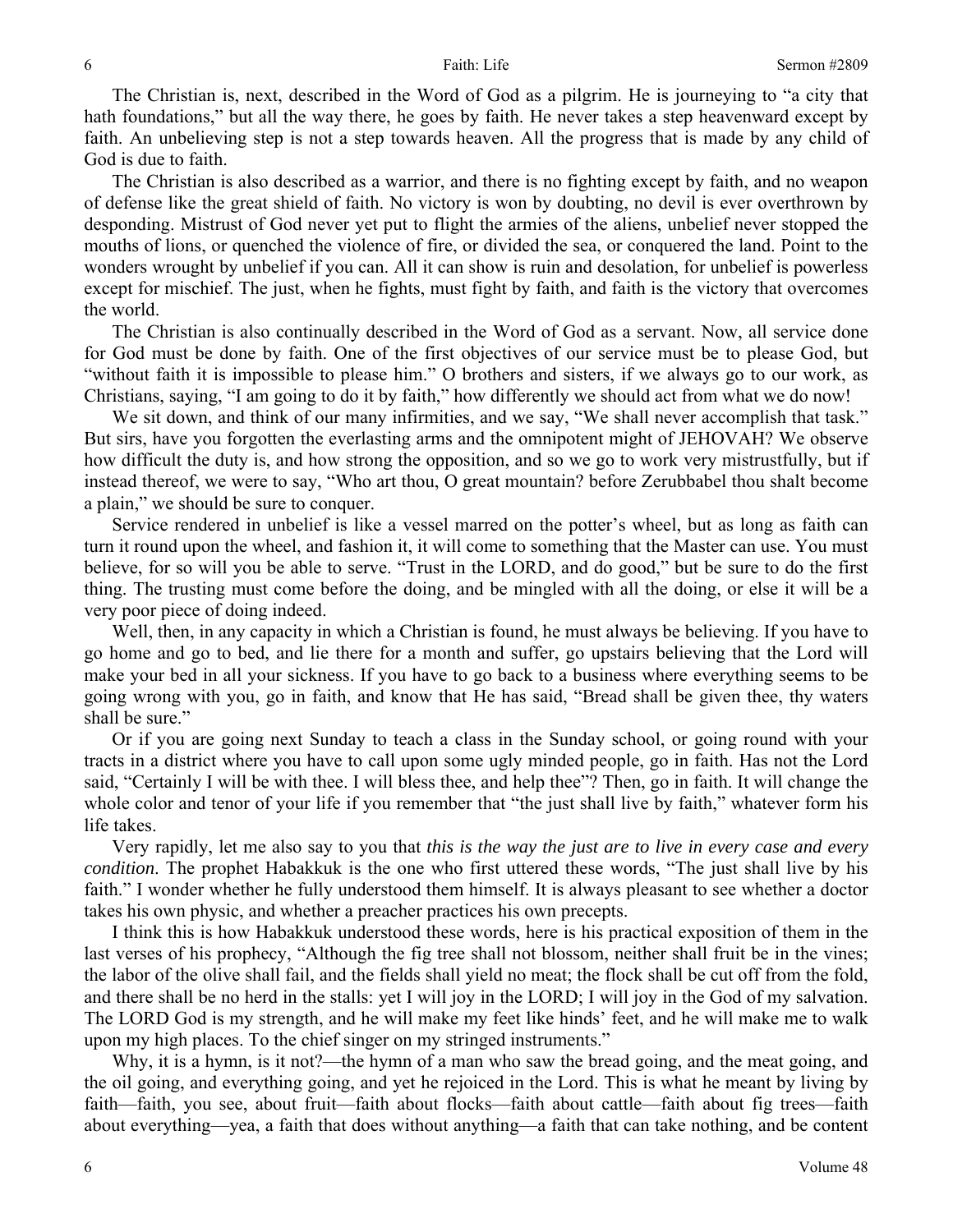The Christian is, next, described in the Word of God as a pilgrim. He is journeying to "a city that hath foundations," but all the way there, he goes by faith. He never takes a step heavenward except by faith. An unbelieving step is not a step towards heaven. All the progress that is made by any child of God is due to faith.

The Christian is also described as a warrior, and there is no fighting except by faith, and no weapon of defense like the great shield of faith. No victory is won by doubting, no devil is ever overthrown by desponding. Mistrust of God never yet put to flight the armies of the aliens, unbelief never stopped the mouths of lions, or quenched the violence of fire, or divided the sea, or conquered the land. Point to the wonders wrought by unbelief if you can. All it can show is ruin and desolation, for unbelief is powerless except for mischief. The just, when he fights, must fight by faith, and faith is the victory that overcomes the world.

The Christian is also continually described in the Word of God as a servant. Now, all service done for God must be done by faith. One of the first objectives of our service must be to please God, but "without faith it is impossible to please him." O brothers and sisters, if we always go to our work, as Christians, saying, "I am going to do it by faith," how differently we should act from what we do now!

We sit down, and think of our many infirmities, and we say, "We shall never accomplish that task." But sirs, have you forgotten the everlasting arms and the omnipotent might of JEHOVAH? We observe how difficult the duty is, and how strong the opposition, and so we go to work very mistrustfully, but if instead thereof, we were to say, "Who art thou, O great mountain? before Zerubbabel thou shalt become a plain," we should be sure to conquer.

Service rendered in unbelief is like a vessel marred on the potter's wheel, but as long as faith can turn it round upon the wheel, and fashion it, it will come to something that the Master can use. You must believe, for so will you be able to serve. "Trust in the LORD, and do good," but be sure to do the first thing. The trusting must come before the doing, and be mingled with all the doing, or else it will be a very poor piece of doing indeed.

Well, then, in any capacity in which a Christian is found, he must always be believing. If you have to go home and go to bed, and lie there for a month and suffer, go upstairs believing that the Lord will make your bed in all your sickness. If you have to go back to a business where everything seems to be going wrong with you, go in faith, and know that He has said, "Bread shall be given thee, thy waters shall be sure."

Or if you are going next Sunday to teach a class in the Sunday school, or going round with your tracts in a district where you have to call upon some ugly minded people, go in faith. Has not the Lord said, "Certainly I will be with thee. I will bless thee, and help thee"? Then, go in faith. It will change the whole color and tenor of your life if you remember that "the just shall live by faith," whatever form his life takes.

Very rapidly, let me also say to you that *this is the way the just are to live in every case and every condition*. The prophet Habakkuk is the one who first uttered these words, "The just shall live by his faith." I wonder whether he fully understood them himself. It is always pleasant to see whether a doctor takes his own physic, and whether a preacher practices his own precepts.

I think this is how Habakkuk understood these words, here is his practical exposition of them in the last verses of his prophecy, "Although the fig tree shall not blossom, neither shall fruit be in the vines; the labor of the olive shall fail, and the fields shall yield no meat; the flock shall be cut off from the fold, and there shall be no herd in the stalls: yet I will joy in the LORD; I will joy in the God of my salvation. The LORD God is my strength, and he will make my feet like hinds' feet, and he will make me to walk upon my high places. To the chief singer on my stringed instruments."

Why, it is a hymn, is it not?—the hymn of a man who saw the bread going, and the meat going, and the oil going, and everything going, and yet he rejoiced in the Lord. This is what he meant by living by faith—faith, you see, about fruit—faith about flocks—faith about cattle—faith about fig trees—faith about everything—yea, a faith that does without anything—a faith that can take nothing, and be content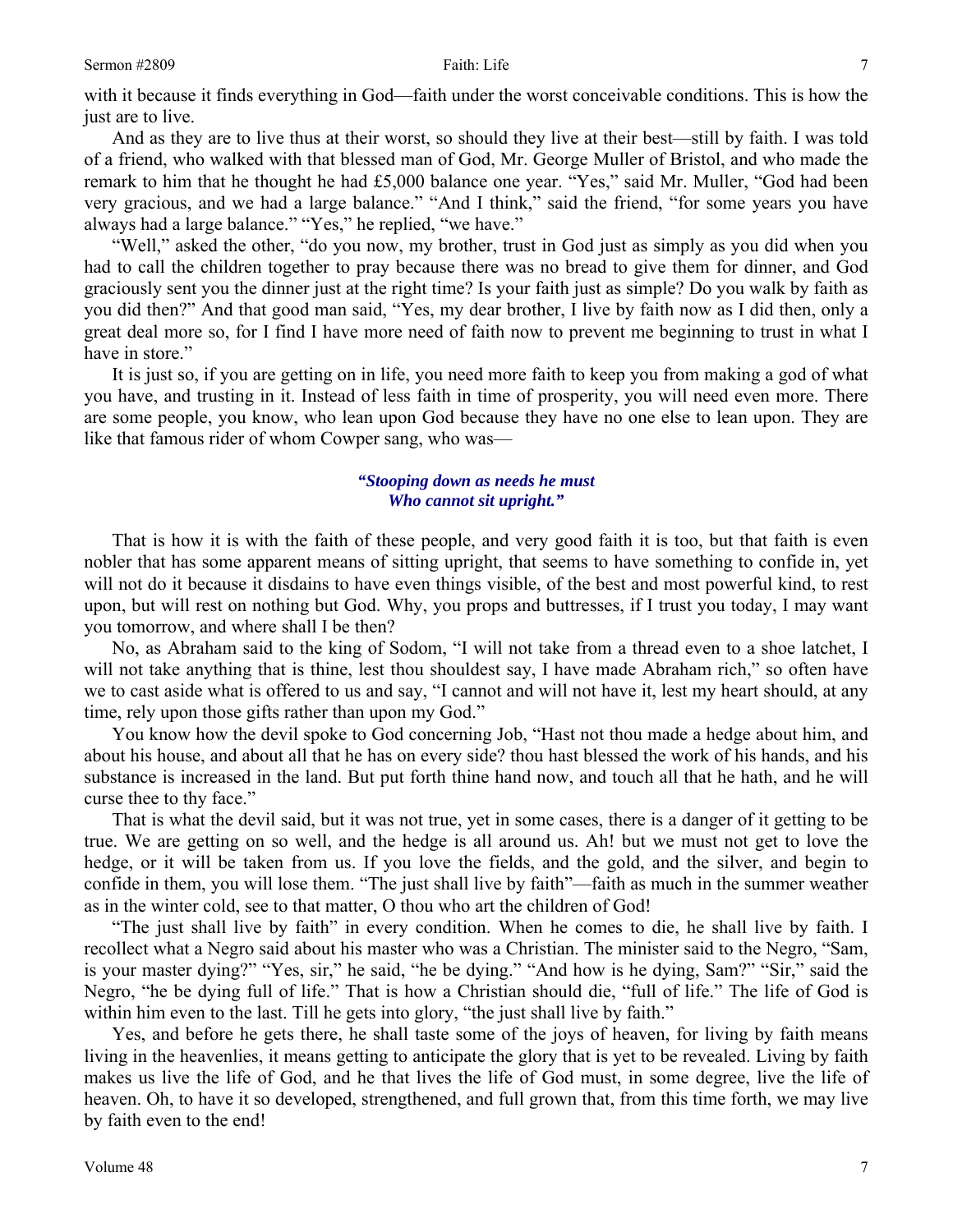with it because it finds everything in God—faith under the worst conceivable conditions. This is how the just are to live.

And as they are to live thus at their worst, so should they live at their best—still by faith. I was told of a friend, who walked with that blessed man of God, Mr. George Muller of Bristol, and who made the remark to him that he thought he had £5,000 balance one year. "Yes," said Mr. Muller, "God had been very gracious, and we had a large balance." "And I think," said the friend, "for some years you have always had a large balance." "Yes," he replied, "we have."

"Well," asked the other, "do you now, my brother, trust in God just as simply as you did when you had to call the children together to pray because there was no bread to give them for dinner, and God graciously sent you the dinner just at the right time? Is your faith just as simple? Do you walk by faith as you did then?" And that good man said, "Yes, my dear brother, I live by faith now as I did then, only a great deal more so, for I find I have more need of faith now to prevent me beginning to trust in what I have in store."

It is just so, if you are getting on in life, you need more faith to keep you from making a god of what you have, and trusting in it. Instead of less faith in time of prosperity, you will need even more. There are some people, you know, who lean upon God because they have no one else to lean upon. They are like that famous rider of whom Cowper sang, who was—

### *"Stooping down as needs he must Who cannot sit upright."*

That is how it is with the faith of these people, and very good faith it is too, but that faith is even nobler that has some apparent means of sitting upright, that seems to have something to confide in, yet will not do it because it disdains to have even things visible, of the best and most powerful kind, to rest upon, but will rest on nothing but God. Why, you props and buttresses, if I trust you today, I may want you tomorrow, and where shall I be then?

No, as Abraham said to the king of Sodom, "I will not take from a thread even to a shoe latchet, I will not take anything that is thine, lest thou shouldest say, I have made Abraham rich," so often have we to cast aside what is offered to us and say, "I cannot and will not have it, lest my heart should, at any time, rely upon those gifts rather than upon my God."

You know how the devil spoke to God concerning Job, "Hast not thou made a hedge about him, and about his house, and about all that he has on every side? thou hast blessed the work of his hands, and his substance is increased in the land. But put forth thine hand now, and touch all that he hath, and he will curse thee to thy face."

That is what the devil said, but it was not true, yet in some cases, there is a danger of it getting to be true. We are getting on so well, and the hedge is all around us. Ah! but we must not get to love the hedge, or it will be taken from us. If you love the fields, and the gold, and the silver, and begin to confide in them, you will lose them. "The just shall live by faith"—faith as much in the summer weather as in the winter cold, see to that matter, O thou who art the children of God!

"The just shall live by faith" in every condition. When he comes to die, he shall live by faith. I recollect what a Negro said about his master who was a Christian. The minister said to the Negro, "Sam, is your master dying?" "Yes, sir," he said, "he be dying." "And how is he dying, Sam?" "Sir," said the Negro, "he be dying full of life." That is how a Christian should die, "full of life." The life of God is within him even to the last. Till he gets into glory, "the just shall live by faith."

Yes, and before he gets there, he shall taste some of the joys of heaven, for living by faith means living in the heavenlies, it means getting to anticipate the glory that is yet to be revealed. Living by faith makes us live the life of God, and he that lives the life of God must, in some degree, live the life of heaven. Oh, to have it so developed, strengthened, and full grown that, from this time forth, we may live by faith even to the end!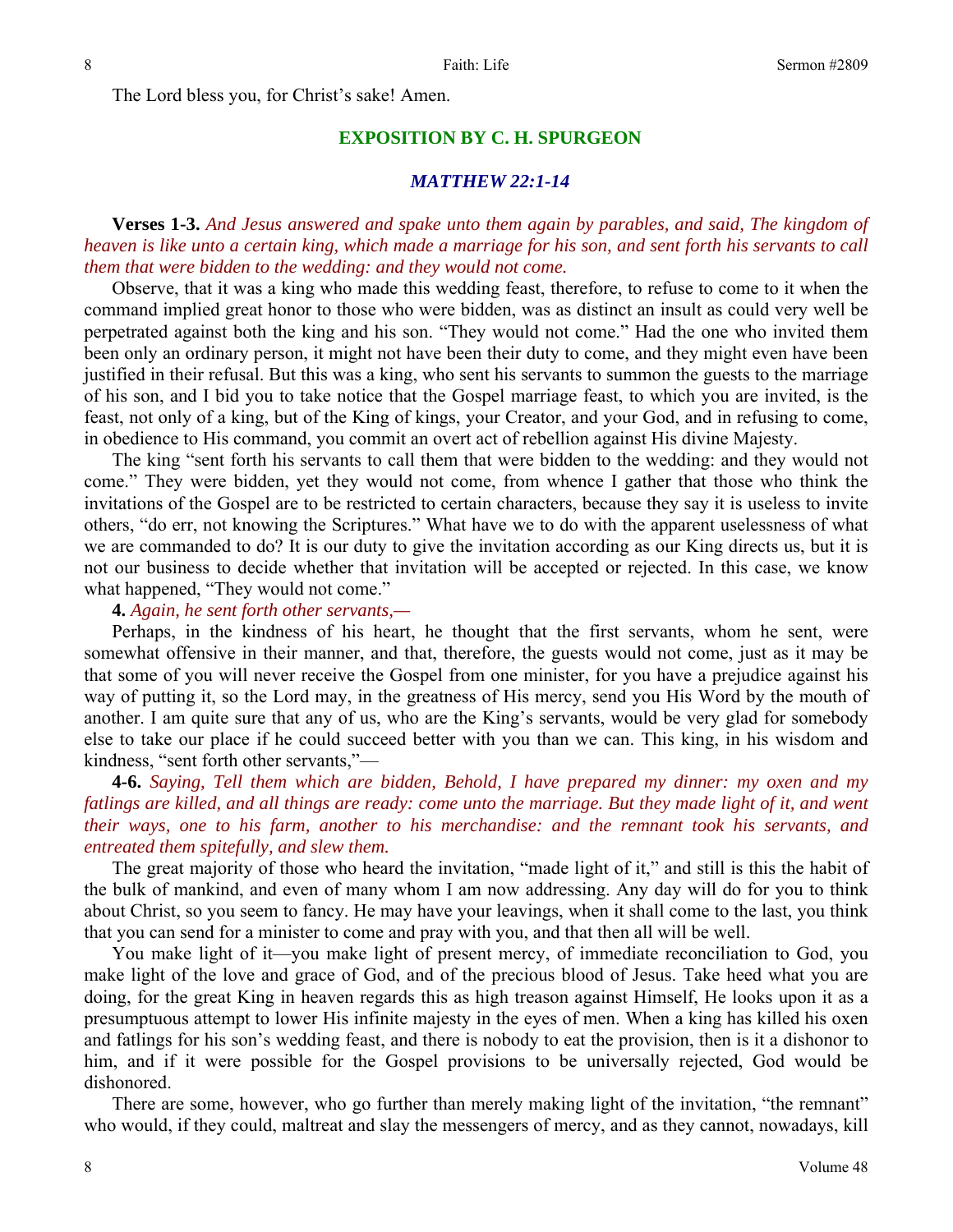The Lord bless you, for Christ's sake! Amen.

# **EXPOSITION BY C. H. SPURGEON**

### *MATTHEW 22:1-14*

**Verses 1-3.** *And Jesus answered and spake unto them again by parables, and said, The kingdom of heaven is like unto a certain king, which made a marriage for his son, and sent forth his servants to call them that were bidden to the wedding: and they would not come.* 

Observe, that it was a king who made this wedding feast, therefore, to refuse to come to it when the command implied great honor to those who were bidden, was as distinct an insult as could very well be perpetrated against both the king and his son. "They would not come." Had the one who invited them been only an ordinary person, it might not have been their duty to come, and they might even have been justified in their refusal. But this was a king, who sent his servants to summon the guests to the marriage of his son, and I bid you to take notice that the Gospel marriage feast, to which you are invited, is the feast, not only of a king, but of the King of kings, your Creator, and your God, and in refusing to come, in obedience to His command, you commit an overt act of rebellion against His divine Majesty.

The king "sent forth his servants to call them that were bidden to the wedding: and they would not come." They were bidden, yet they would not come, from whence I gather that those who think the invitations of the Gospel are to be restricted to certain characters, because they say it is useless to invite others, "do err, not knowing the Scriptures." What have we to do with the apparent uselessness of what we are commanded to do? It is our duty to give the invitation according as our King directs us, but it is not our business to decide whether that invitation will be accepted or rejected. In this case, we know what happened, "They would not come."

**4.** *Again, he sent forth other servants,—* 

Perhaps, in the kindness of his heart, he thought that the first servants, whom he sent, were somewhat offensive in their manner, and that, therefore, the guests would not come, just as it may be that some of you will never receive the Gospel from one minister, for you have a prejudice against his way of putting it, so the Lord may, in the greatness of His mercy, send you His Word by the mouth of another. I am quite sure that any of us, who are the King's servants, would be very glad for somebody else to take our place if he could succeed better with you than we can. This king, in his wisdom and kindness, "sent forth other servants,"—

**4-6.** *Saying, Tell them which are bidden, Behold, I have prepared my dinner: my oxen and my fatlings are killed, and all things are ready: come unto the marriage. But they made light of it, and went their ways, one to his farm, another to his merchandise: and the remnant took his servants, and entreated them spitefully, and slew them.* 

The great majority of those who heard the invitation, "made light of it," and still is this the habit of the bulk of mankind, and even of many whom I am now addressing. Any day will do for you to think about Christ, so you seem to fancy. He may have your leavings, when it shall come to the last, you think that you can send for a minister to come and pray with you, and that then all will be well.

You make light of it—you make light of present mercy, of immediate reconciliation to God, you make light of the love and grace of God, and of the precious blood of Jesus. Take heed what you are doing, for the great King in heaven regards this as high treason against Himself, He looks upon it as a presumptuous attempt to lower His infinite majesty in the eyes of men. When a king has killed his oxen and fatlings for his son's wedding feast, and there is nobody to eat the provision, then is it a dishonor to him, and if it were possible for the Gospel provisions to be universally rejected, God would be dishonored.

There are some, however, who go further than merely making light of the invitation, "the remnant" who would, if they could, maltreat and slay the messengers of mercy, and as they cannot, nowadays, kill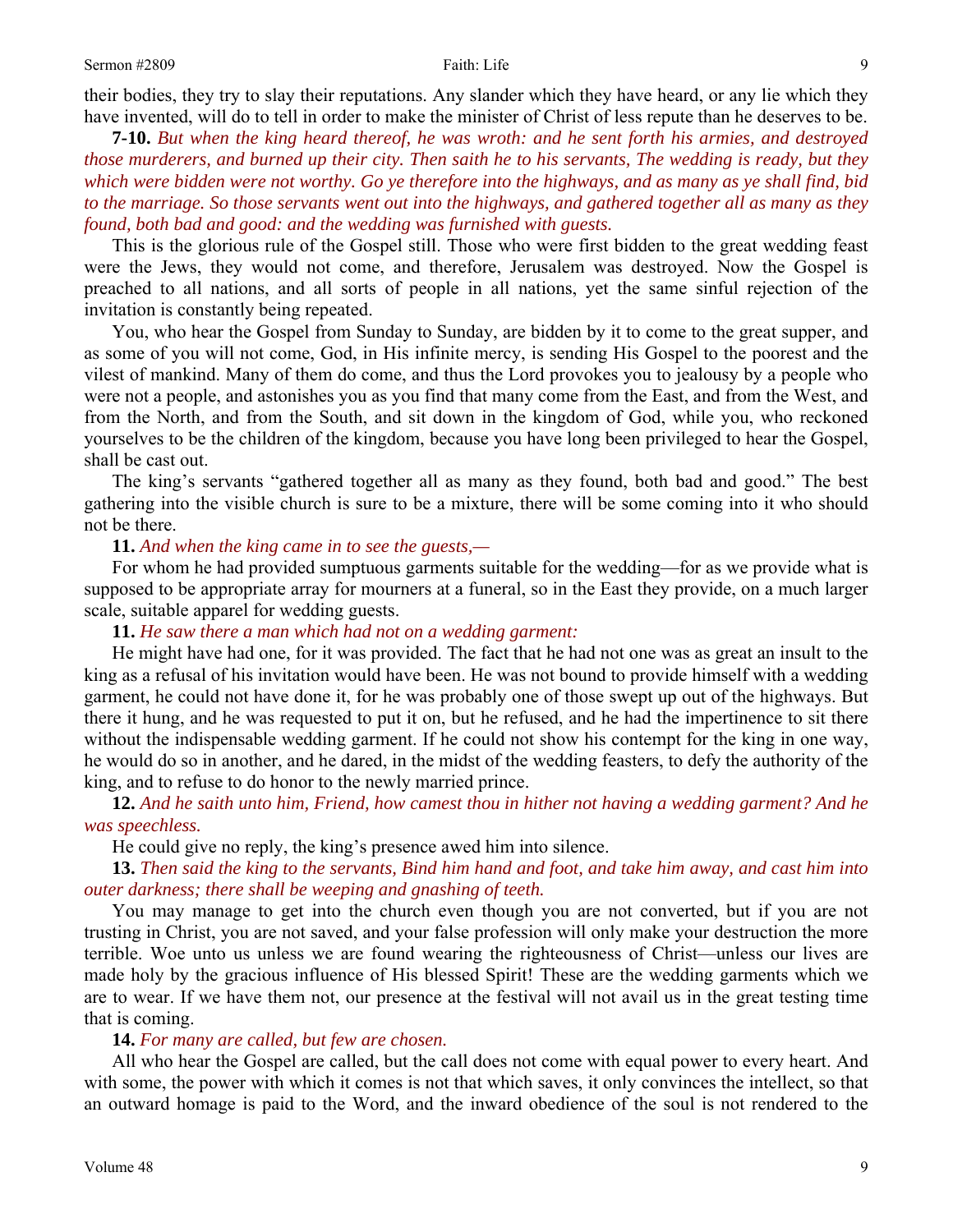their bodies, they try to slay their reputations. Any slander which they have heard, or any lie which they have invented, will do to tell in order to make the minister of Christ of less repute than he deserves to be.

**7-10.** *But when the king heard thereof, he was wroth: and he sent forth his armies, and destroyed those murderers, and burned up their city. Then saith he to his servants, The wedding is ready, but they which were bidden were not worthy. Go ye therefore into the highways, and as many as ye shall find, bid to the marriage. So those servants went out into the highways, and gathered together all as many as they found, both bad and good: and the wedding was furnished with guests.* 

This is the glorious rule of the Gospel still. Those who were first bidden to the great wedding feast were the Jews, they would not come, and therefore, Jerusalem was destroyed. Now the Gospel is preached to all nations, and all sorts of people in all nations, yet the same sinful rejection of the invitation is constantly being repeated.

You, who hear the Gospel from Sunday to Sunday, are bidden by it to come to the great supper, and as some of you will not come, God, in His infinite mercy, is sending His Gospel to the poorest and the vilest of mankind. Many of them do come, and thus the Lord provokes you to jealousy by a people who were not a people, and astonishes you as you find that many come from the East, and from the West, and from the North, and from the South, and sit down in the kingdom of God, while you, who reckoned yourselves to be the children of the kingdom, because you have long been privileged to hear the Gospel, shall be cast out.

The king's servants "gathered together all as many as they found, both bad and good." The best gathering into the visible church is sure to be a mixture, there will be some coming into it who should not be there.

### **11.** *And when the king came in to see the guests,—*

For whom he had provided sumptuous garments suitable for the wedding—for as we provide what is supposed to be appropriate array for mourners at a funeral, so in the East they provide, on a much larger scale, suitable apparel for wedding guests.

## **11.** *He saw there a man which had not on a wedding garment:*

He might have had one, for it was provided. The fact that he had not one was as great an insult to the king as a refusal of his invitation would have been. He was not bound to provide himself with a wedding garment, he could not have done it, for he was probably one of those swept up out of the highways. But there it hung, and he was requested to put it on, but he refused, and he had the impertinence to sit there without the indispensable wedding garment. If he could not show his contempt for the king in one way, he would do so in another, and he dared, in the midst of the wedding feasters, to defy the authority of the king, and to refuse to do honor to the newly married prince.

**12.** *And he saith unto him, Friend, how camest thou in hither not having a wedding garment? And he was speechless.* 

He could give no reply, the king's presence awed him into silence.

**13.** *Then said the king to the servants, Bind him hand and foot, and take him away, and cast him into outer darkness; there shall be weeping and gnashing of teeth.* 

You may manage to get into the church even though you are not converted, but if you are not trusting in Christ, you are not saved, and your false profession will only make your destruction the more terrible. Woe unto us unless we are found wearing the righteousness of Christ—unless our lives are made holy by the gracious influence of His blessed Spirit! These are the wedding garments which we are to wear. If we have them not, our presence at the festival will not avail us in the great testing time that is coming.

### **14.** *For many are called, but few are chosen.*

All who hear the Gospel are called, but the call does not come with equal power to every heart. And with some, the power with which it comes is not that which saves, it only convinces the intellect, so that an outward homage is paid to the Word, and the inward obedience of the soul is not rendered to the